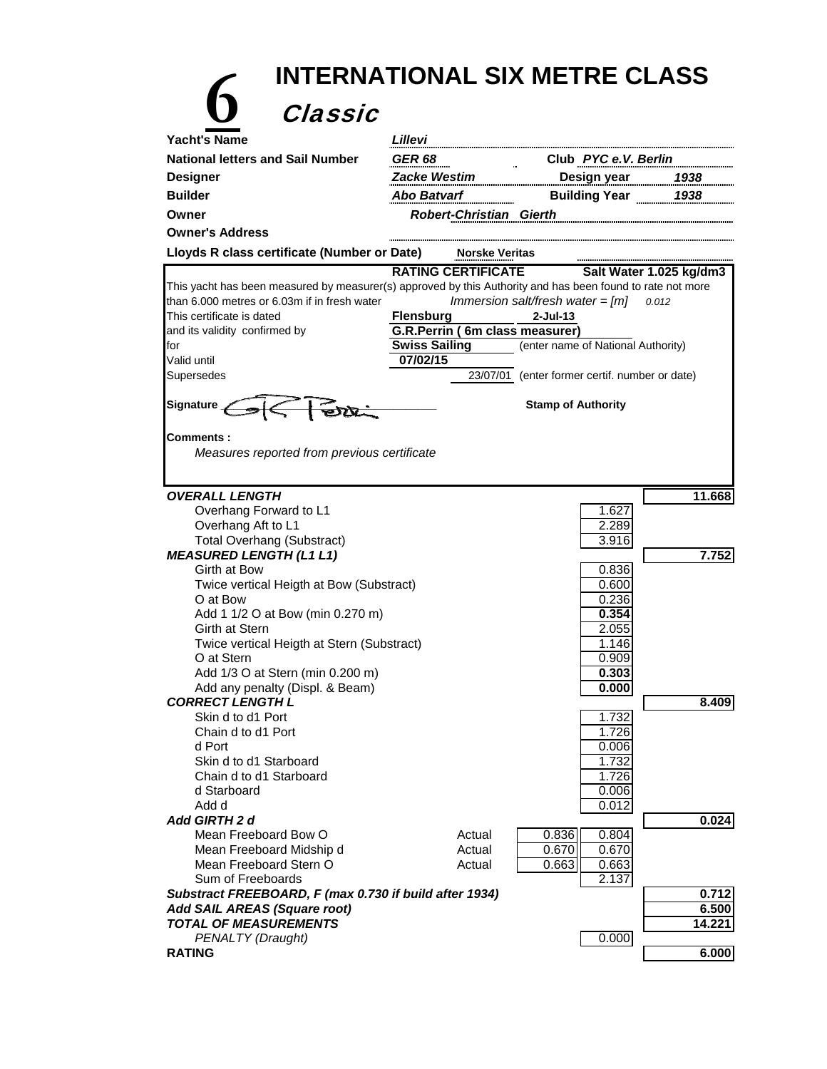| <b>INTERNATIONAL SIX METRE CLASS</b>                                                                       |                      |                                                    |                                                |                         |  |  |  |  |
|------------------------------------------------------------------------------------------------------------|----------------------|----------------------------------------------------|------------------------------------------------|-------------------------|--|--|--|--|
| Classic                                                                                                    |                      |                                                    |                                                |                         |  |  |  |  |
| <b>Yacht's Name</b>                                                                                        | Lillevi              |                                                    |                                                |                         |  |  |  |  |
| <b>National letters and Sail Number</b>                                                                    | <b>GER 68</b>        | Club PYC e.V. Berlin                               |                                                |                         |  |  |  |  |
| <b>Designer</b>                                                                                            | Zacke Westim         |                                                    | Design year                                    | 1938                    |  |  |  |  |
| <b>Builder</b>                                                                                             | Abo Batvarf          |                                                    | Building Year 1938                             |                         |  |  |  |  |
| Owner                                                                                                      |                      | <b>Robert-Christian Gierth</b>                     |                                                |                         |  |  |  |  |
| <b>Owner's Address</b>                                                                                     |                      |                                                    |                                                |                         |  |  |  |  |
|                                                                                                            |                      |                                                    |                                                |                         |  |  |  |  |
| Lloyds R class certificate (Number or Date)                                                                |                      | <b>Norske Veritas</b><br><b>RATING CERTIFICATE</b> |                                                |                         |  |  |  |  |
| This yacht has been measured by measurer(s) approved by this Authority and has been found to rate not more |                      |                                                    |                                                | Salt Water 1.025 kg/dm3 |  |  |  |  |
| than 6.000 metres or 6.03m if in fresh water                                                               |                      |                                                    | Immersion salt/fresh water = $[m]$             | 0.012                   |  |  |  |  |
| This certificate is dated                                                                                  | <b>Flensburg</b>     |                                                    | $2$ -Jul-13                                    |                         |  |  |  |  |
| and its validity confirmed by                                                                              |                      |                                                    | G.R.Perrin (6m class measurer)                 |                         |  |  |  |  |
| for                                                                                                        | <b>Swiss Sailing</b> |                                                    | (enter name of National Authority)             |                         |  |  |  |  |
| Valid until                                                                                                | 07/02/15             |                                                    |                                                |                         |  |  |  |  |
| Supersedes                                                                                                 |                      |                                                    | 23/07/01 (enter former certif. number or date) |                         |  |  |  |  |
| Signature _                                                                                                |                      |                                                    | <b>Stamp of Authority</b>                      |                         |  |  |  |  |
|                                                                                                            |                      |                                                    |                                                |                         |  |  |  |  |
| <b>Comments :</b>                                                                                          |                      |                                                    |                                                |                         |  |  |  |  |
| Measures reported from previous certificate                                                                |                      |                                                    |                                                |                         |  |  |  |  |
|                                                                                                            |                      |                                                    |                                                |                         |  |  |  |  |
| <b>OVERALL LENGTH</b>                                                                                      |                      |                                                    |                                                | 11.668                  |  |  |  |  |
| Overhang Forward to L1                                                                                     |                      |                                                    | 1.627                                          |                         |  |  |  |  |
| Overhang Aft to L1                                                                                         |                      |                                                    | 2.289                                          |                         |  |  |  |  |
| <b>Total Overhang (Substract)</b>                                                                          |                      |                                                    | 3.916                                          |                         |  |  |  |  |
| <b>MEASURED LENGTH (L1 L1)</b>                                                                             |                      |                                                    |                                                | 7.752                   |  |  |  |  |
| Girth at Bow                                                                                               |                      |                                                    | 0.836                                          |                         |  |  |  |  |
| Twice vertical Heigth at Bow (Substract)<br>O at Bow                                                       |                      |                                                    | 0.600<br>0.236                                 |                         |  |  |  |  |
| Add 1 1/2 O at Bow (min 0.270 m)                                                                           |                      |                                                    | 0.354                                          |                         |  |  |  |  |
| Girth at Stern                                                                                             |                      |                                                    | 2.055                                          |                         |  |  |  |  |
| Twice vertical Heigth at Stern (Substract)                                                                 |                      |                                                    | 1.146                                          |                         |  |  |  |  |
| O at Stern                                                                                                 |                      |                                                    | 0.909                                          |                         |  |  |  |  |
| Add 1/3 O at Stern (min 0.200 m)                                                                           |                      |                                                    | 0.303                                          |                         |  |  |  |  |
| Add any penalty (Displ. & Beam)<br><b>CORRECT LENGTH L</b>                                                 |                      |                                                    | 0.000                                          | 8.409                   |  |  |  |  |
| Skin d to d1 Port                                                                                          |                      |                                                    | 1.732                                          |                         |  |  |  |  |
| Chain d to d1 Port                                                                                         |                      |                                                    | 1.726                                          |                         |  |  |  |  |
| d Port                                                                                                     |                      |                                                    | 0.006                                          |                         |  |  |  |  |
| Skin d to d1 Starboard                                                                                     |                      |                                                    | 1.732                                          |                         |  |  |  |  |
| Chain d to d1 Starboard<br>d Starboard                                                                     |                      |                                                    | 1.726<br>0.006                                 |                         |  |  |  |  |
| Add d                                                                                                      |                      |                                                    | 0.012                                          |                         |  |  |  |  |
| <b>Add GIRTH 2 d</b>                                                                                       |                      |                                                    |                                                | 0.024                   |  |  |  |  |
| Mean Freeboard Bow O                                                                                       |                      | Actual                                             | 0.836<br>0.804                                 |                         |  |  |  |  |
| Mean Freeboard Midship d                                                                                   |                      | Actual                                             | 0.670<br>0.670                                 |                         |  |  |  |  |
| Mean Freeboard Stern O                                                                                     |                      | Actual                                             | 0.663<br>0.663                                 |                         |  |  |  |  |
| Sum of Freeboards                                                                                          |                      |                                                    | 2.137                                          |                         |  |  |  |  |
| Substract FREEBOARD, F (max 0.730 if build after 1934)<br>Add SAIL AREAS (Square root)                     |                      |                                                    |                                                | 0.712<br>6.500          |  |  |  |  |
| <b>TOTAL OF MEASUREMENTS</b>                                                                               |                      |                                                    |                                                | 14.221                  |  |  |  |  |
| PENALTY (Draught)                                                                                          |                      |                                                    | 0.000                                          |                         |  |  |  |  |
| <b>RATING</b>                                                                                              |                      |                                                    |                                                | 6.000                   |  |  |  |  |